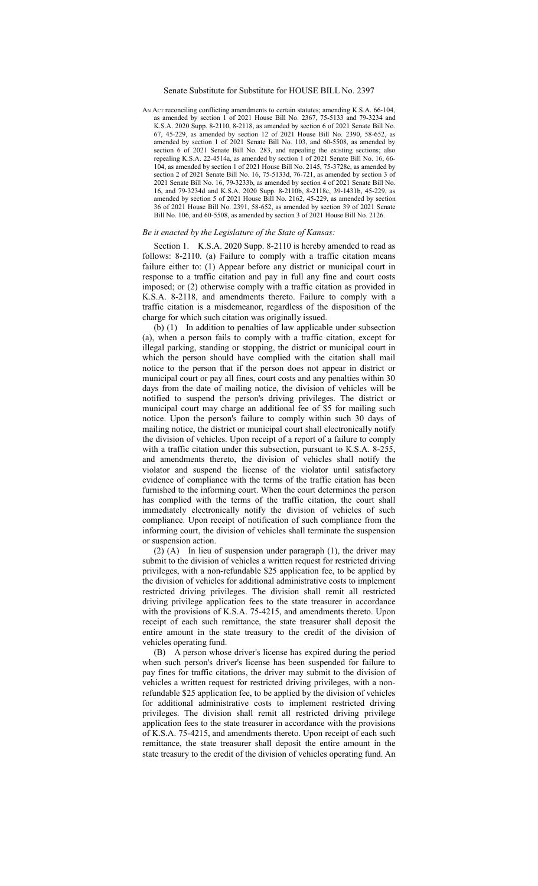## Senate Substitute for Substitute for HOUSE BILL No. 2397

AN ACT reconciling conflicting amendments to certain statutes; amending K.S.A. 66-104, as amended by section 1 of 2021 House Bill No. 2367, 75-5133 and 79-3234 and K.S.A. 2020 Supp. 8-2110, 8-2118, as amended by section 6 of 2021 Senate Bill No. 67, 45-229, as amended by section 12 of 2021 House Bill No. 2390, 58-652, as amended by section 1 of 2021 Senate Bill No. 103, and 60-5508, as amended by section 6 of 2021 Senate Bill No. 283, and repealing the existing sections; also repealing K.S.A. 22-4514a, as amended by section 1 of 2021 Senate Bill No. 16, 66- 104, as amended by section 1 of 2021 House Bill No. 2145, 75-3728c, as amended by section 2 of 2021 Senate Bill No. 16, 75-5133d, 76-721, as amended by section 3 of 2021 Senate Bill No. 16, 79-3233b, as amended by section 4 of 2021 Senate Bill No. 16, and 79-3234d and K.S.A. 2020 Supp. 8-2110b, 8-2118c, 39-1431b, 45-229, as amended by section 5 of 2021 House Bill No. 2162, 45-229, as amended by section 36 of 2021 House Bill No. 2391, 58-652, as amended by section 39 of 2021 Senate Bill No. 106, and 60-5508, as amended by section 3 of 2021 House Bill No. 2126.

## *Be it enacted by the Legislature of the State of Kansas:*

Section 1. K.S.A. 2020 Supp. 8-2110 is hereby amended to read as follows: 8-2110. (a) Failure to comply with a traffic citation means failure either to: (1) Appear before any district or municipal court in response to a traffic citation and pay in full any fine and court costs imposed; or (2) otherwise comply with a traffic citation as provided in K.S.A. 8-2118, and amendments thereto. Failure to comply with a traffic citation is a misdemeanor, regardless of the disposition of the charge for which such citation was originally issued.

(b) (1) In addition to penalties of law applicable under subsection (a), when a person fails to comply with a traffic citation, except for illegal parking, standing or stopping, the district or municipal court in which the person should have complied with the citation shall mail notice to the person that if the person does not appear in district or municipal court or pay all fines, court costs and any penalties within 30 days from the date of mailing notice, the division of vehicles will be notified to suspend the person's driving privileges. The district or municipal court may charge an additional fee of \$5 for mailing such notice. Upon the person's failure to comply within such 30 days of mailing notice, the district or municipal court shall electronically notify the division of vehicles. Upon receipt of a report of a failure to comply with a traffic citation under this subsection, pursuant to K.S.A. 8-255, and amendments thereto, the division of vehicles shall notify the violator and suspend the license of the violator until satisfactory evidence of compliance with the terms of the traffic citation has been furnished to the informing court. When the court determines the person has complied with the terms of the traffic citation, the court shall immediately electronically notify the division of vehicles of such compliance. Upon receipt of notification of such compliance from the informing court, the division of vehicles shall terminate the suspension or suspension action.

(2) (A) In lieu of suspension under paragraph (1), the driver may submit to the division of vehicles a written request for restricted driving privileges, with a non-refundable \$25 application fee, to be applied by the division of vehicles for additional administrative costs to implement restricted driving privileges. The division shall remit all restricted driving privilege application fees to the state treasurer in accordance with the provisions of K.S.A. 75-4215, and amendments thereto. Upon receipt of each such remittance, the state treasurer shall deposit the entire amount in the state treasury to the credit of the division of vehicles operating fund.

(B) A person whose driver's license has expired during the period when such person's driver's license has been suspended for failure to pay fines for traffic citations, the driver may submit to the division of vehicles a written request for restricted driving privileges, with a nonrefundable \$25 application fee, to be applied by the division of vehicles for additional administrative costs to implement restricted driving privileges. The division shall remit all restricted driving privilege application fees to the state treasurer in accordance with the provisions of K.S.A. 75-4215, and amendments thereto. Upon receipt of each such remittance, the state treasurer shall deposit the entire amount in the state treasury to the credit of the division of vehicles operating fund. An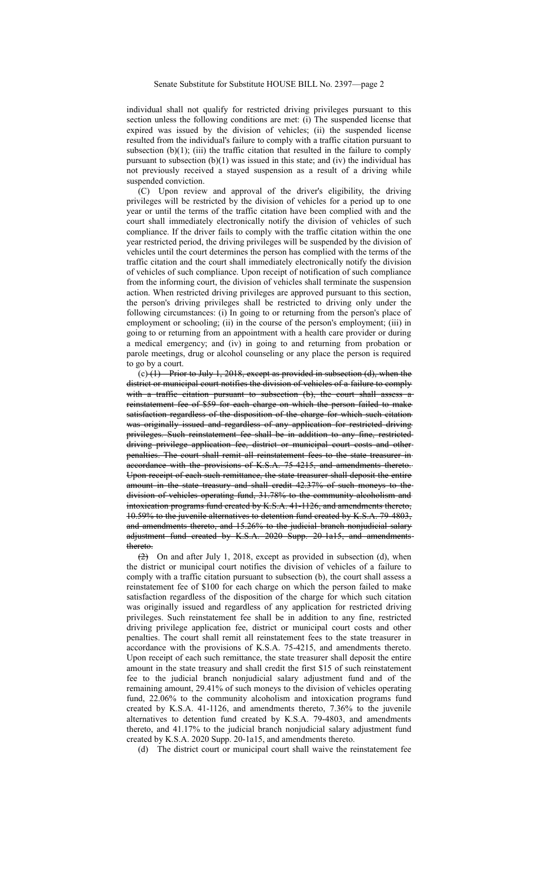individual shall not qualify for restricted driving privileges pursuant to this section unless the following conditions are met: (i) The suspended license that expired was issued by the division of vehicles; (ii) the suspended license resulted from the individual's failure to comply with a traffic citation pursuant to subsection (b) $(1)$ ; (iii) the traffic citation that resulted in the failure to comply pursuant to subsection  $(b)(1)$  was issued in this state; and (iv) the individual has not previously received a stayed suspension as a result of a driving while suspended conviction.

(C) Upon review and approval of the driver's eligibility, the driving privileges will be restricted by the division of vehicles for a period up to one year or until the terms of the traffic citation have been complied with and the court shall immediately electronically notify the division of vehicles of such compliance. If the driver fails to comply with the traffic citation within the one year restricted period, the driving privileges will be suspended by the division of vehicles until the court determines the person has complied with the terms of the traffic citation and the court shall immediately electronically notify the division of vehicles of such compliance. Upon receipt of notification of such compliance from the informing court, the division of vehicles shall terminate the suspension action. When restricted driving privileges are approved pursuant to this section, the person's driving privileges shall be restricted to driving only under the following circumstances: (i) In going to or returning from the person's place of employment or schooling; (ii) in the course of the person's employment; (iii) in going to or returning from an appointment with a health care provider or during a medical emergency; and (iv) in going to and returning from probation or parole meetings, drug or alcohol counseling or any place the person is required to go by a court.

 $(c)$  (1) Prior to July 1, 2018, except as provided in subsection (d), when the district or municipal court notifies the division of vehicles of a failure to comply with a traffic citation pursuant to subsection (b), the court shall assess a reinstatement fee of \$59 for each charge on which the person failed to make satisfaction regardless of the disposition of the charge for which such citation was originally issued and regardless of any application for restricted driving privileges. Such reinstatement fee shall be in addition to any fine, restricted driving privilege application fee, district or municipal court costs and other penalties. The court shall remit all reinstatement fees to the state treasurer in accordance with the provisions of K.S.A. 75-4215, and amendments thereto. Upon receipt of each such remittance, the state treasurer shall deposit the entire amount in the state treasury and shall credit 42.37% of such moneys to the division of vehicles operating fund, 31.78% to the community alcoholism and intoxication programs fund created by K.S.A. 41-1126, and amendments thereto, 10.59% to the juvenile alternatives to detention fund created by K.S.A. 79-4803, and amendments thereto, and 15.26% to the judicial branch nonjudicial salary adjustment fund created by K.S.A. 2020 Supp. 20-1a15, and amendments thereto.

(2) On and after July 1, 2018, except as provided in subsection (d), when the district or municipal court notifies the division of vehicles of a failure to comply with a traffic citation pursuant to subsection (b), the court shall assess a reinstatement fee of \$100 for each charge on which the person failed to make satisfaction regardless of the disposition of the charge for which such citation was originally issued and regardless of any application for restricted driving privileges. Such reinstatement fee shall be in addition to any fine, restricted driving privilege application fee, district or municipal court costs and other penalties. The court shall remit all reinstatement fees to the state treasurer in accordance with the provisions of K.S.A. 75-4215, and amendments thereto. Upon receipt of each such remittance, the state treasurer shall deposit the entire amount in the state treasury and shall credit the first \$15 of such reinstatement fee to the judicial branch nonjudicial salary adjustment fund and of the remaining amount, 29.41% of such moneys to the division of vehicles operating fund, 22.06% to the community alcoholism and intoxication programs fund created by K.S.A. 41-1126, and amendments thereto, 7.36% to the juvenile alternatives to detention fund created by K.S.A. 79-4803, and amendments thereto, and 41.17% to the judicial branch nonjudicial salary adjustment fund created by K.S.A. 2020 Supp. 20-1a15, and amendments thereto.

(d) The district court or municipal court shall waive the reinstatement fee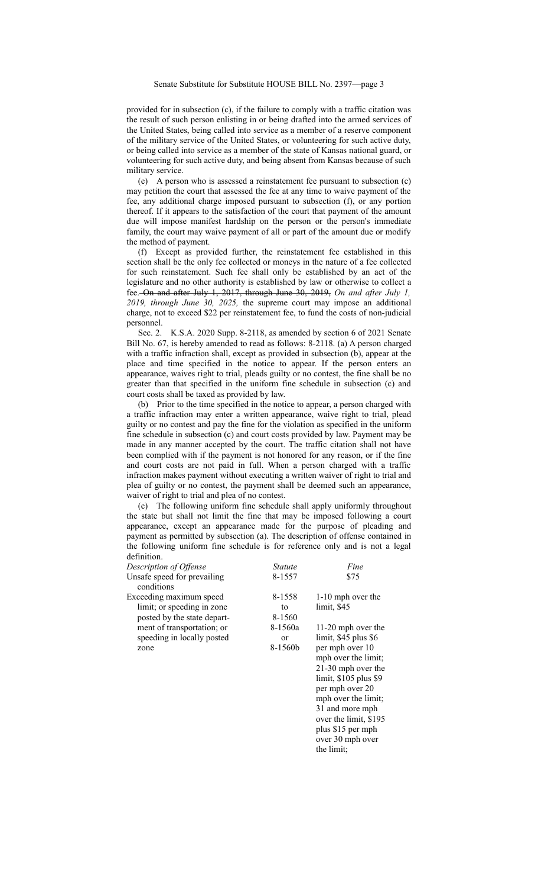provided for in subsection (c), if the failure to comply with a traffic citation was the result of such person enlisting in or being drafted into the armed services of the United States, being called into service as a member of a reserve component of the military service of the United States, or volunteering for such active duty, or being called into service as a member of the state of Kansas national guard, or volunteering for such active duty, and being absent from Kansas because of such military service.

(e) A person who is assessed a reinstatement fee pursuant to subsection (c) may petition the court that assessed the fee at any time to waive payment of the fee, any additional charge imposed pursuant to subsection (f), or any portion thereof. If it appears to the satisfaction of the court that payment of the amount due will impose manifest hardship on the person or the person's immediate family, the court may waive payment of all or part of the amount due or modify the method of payment.

(f) Except as provided further, the reinstatement fee established in this section shall be the only fee collected or moneys in the nature of a fee collected for such reinstatement. Such fee shall only be established by an act of the legislature and no other authority is established by law or otherwise to collect a fee. On and after July 1, 2017, through June 30, 2019, *On and after July 1, 2019, through June 30, 2025,* the supreme court may impose an additional charge, not to exceed \$22 per reinstatement fee, to fund the costs of non-judicial personnel.

Sec. 2. K.S.A. 2020 Supp. 8-2118, as amended by section 6 of 2021 Senate Bill No. 67, is hereby amended to read as follows: 8-2118. (a) A person charged with a traffic infraction shall, except as provided in subsection (b), appear at the place and time specified in the notice to appear. If the person enters an appearance, waives right to trial, pleads guilty or no contest, the fine shall be no greater than that specified in the uniform fine schedule in subsection (c) and court costs shall be taxed as provided by law.

(b) Prior to the time specified in the notice to appear, a person charged with a traffic infraction may enter a written appearance, waive right to trial, plead guilty or no contest and pay the fine for the violation as specified in the uniform fine schedule in subsection (c) and court costs provided by law. Payment may be made in any manner accepted by the court. The traffic citation shall not have been complied with if the payment is not honored for any reason, or if the fine and court costs are not paid in full. When a person charged with a traffic infraction makes payment without executing a written waiver of right to trial and plea of guilty or no contest, the payment shall be deemed such an appearance, waiver of right to trial and plea of no contest.

(c) The following uniform fine schedule shall apply uniformly throughout the state but shall not limit the fine that may be imposed following a court appearance, except an appearance made for the purpose of pleading and payment as permitted by subsection (a). The description of offense contained in the following uniform fine schedule is for reference only and is not a legal definition.

| Description of Offense                                                               | Statute                             | Fine                                                                                                                                                                                                                                                               |
|--------------------------------------------------------------------------------------|-------------------------------------|--------------------------------------------------------------------------------------------------------------------------------------------------------------------------------------------------------------------------------------------------------------------|
| Unsafe speed for prevailing<br>conditions                                            | 8-1557                              | \$75                                                                                                                                                                                                                                                               |
| Exceeding maximum speed<br>limit; or speeding in zone<br>posted by the state depart- | 8-1558<br>to<br>8-1560              | 1-10 mph over the<br>limit, \$45                                                                                                                                                                                                                                   |
| ment of transportation; or<br>speeding in locally posted<br>zone                     | 8-1560a<br><sub>or</sub><br>8-1560b | 11-20 mph over the<br>limit, \$45 plus \$6<br>per mph over 10<br>mph over the limit;<br>21-30 mph over the<br>limit, \$105 plus \$9<br>per mph over 20<br>mph over the limit;<br>31 and more mph<br>over the limit, \$195<br>plus \$15 per mph<br>over 30 mph over |

the limit;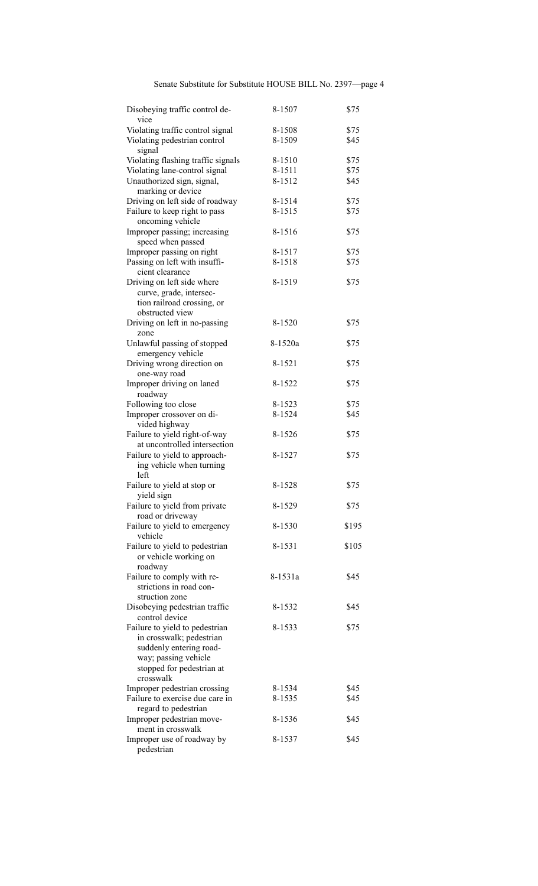Senate Substitute for Substitute HOUSE BILL No. 2397—page 4

| Disobeying traffic control de-         | 8-1507  | \$75  |
|----------------------------------------|---------|-------|
| vice                                   |         |       |
| Violating traffic control signal       | 8-1508  | \$75  |
| Violating pedestrian control<br>signal | 8-1509  | \$45  |
| Violating flashing traffic signals     | 8-1510  | \$75  |
| Violating lane-control signal          | 8-1511  | \$75  |
| Unauthorized sign, signal,             | 8-1512  | \$45  |
| marking or device                      |         |       |
| Driving on left side of roadway        | 8-1514  | \$75  |
| Failure to keep right to pass          | 8-1515  | \$75  |
| oncoming vehicle                       |         |       |
| Improper passing; increasing           | 8-1516  | \$75  |
| speed when passed                      |         |       |
| Improper passing on right              | 8-1517  | \$75  |
| Passing on left with insuffi-          | 8-1518  | \$75  |
| cient clearance                        |         |       |
| Driving on left side where             | 8-1519  | \$75  |
| curve, grade, intersec-                |         |       |
| tion railroad crossing, or             |         |       |
| obstructed view                        |         |       |
| Driving on left in no-passing          | 8-1520  | \$75  |
| zone                                   |         |       |
| Unlawful passing of stopped            | 8-1520a | \$75  |
| emergency vehicle                      |         |       |
| Driving wrong direction on             | 8-1521  | \$75  |
| one-way road                           |         |       |
| Improper driving on laned              | 8-1522  | \$75  |
| roadway                                |         |       |
| Following too close                    | 8-1523  | \$75  |
| Improper crossover on di-              | 8-1524  | \$45  |
| vided highway                          |         |       |
| Failure to yield right-of-way          | 8-1526  | \$75  |
| at uncontrolled intersection           |         |       |
| Failure to yield to approach-          | 8-1527  | \$75  |
| ing vehicle when turning<br>left       |         |       |
| Failure to yield at stop or            | 8-1528  | \$75  |
| yield sign                             |         |       |
| Failure to yield from private          | 8-1529  | \$75  |
| road or driveway                       |         |       |
| Failure to yield to emergency          | 8-1530  | \$195 |
| vehicle                                |         |       |
| Failure to yield to pedestrian         | 8-1531  | \$105 |
| or vehicle working on                  |         |       |
| roadway                                |         |       |
| Failure to comply with re-             | 8-1531a | \$45  |
| strictions in road con-                |         |       |
| struction zone                         |         |       |
| Disobeying pedestrian traffic          | 8-1532  | \$45  |
| control device                         |         |       |
| Failure to yield to pedestrian         | 8-1533  | \$75  |
| in crosswalk; pedestrian               |         |       |
| suddenly entering road-                |         |       |
| way; passing vehicle                   |         |       |
| stopped for pedestrian at              |         |       |
| crosswalk                              |         |       |
| Improper pedestrian crossing           | 8-1534  | \$45  |
| Failure to exercise due care in        | 8-1535  | \$45  |
| regard to pedestrian                   |         |       |
| Improper pedestrian move-              | 8-1536  | \$45  |
| ment in crosswalk                      |         |       |
| Improper use of roadway by             | 8-1537  | \$45  |
| pedestrian                             |         |       |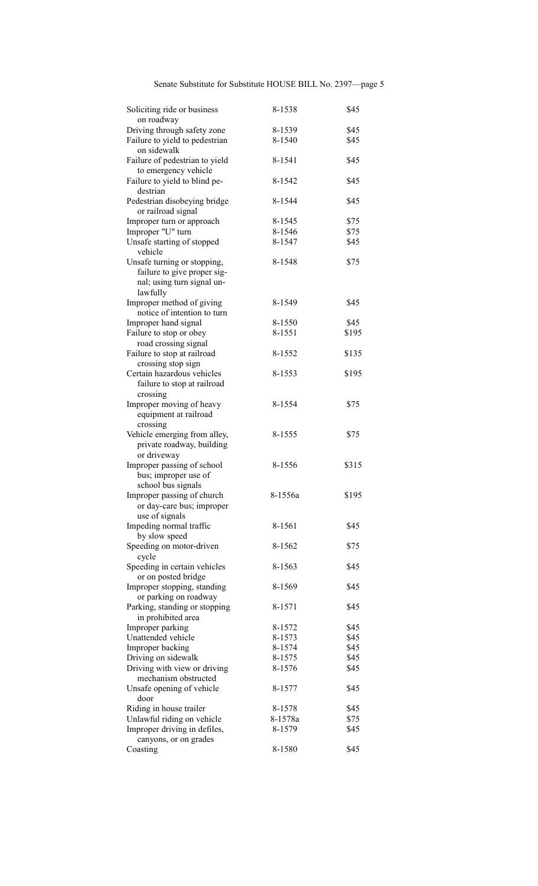| Soliciting ride or business<br>on roadway                                                            | 8-1538  | \$45  |
|------------------------------------------------------------------------------------------------------|---------|-------|
| Driving through safety zone                                                                          | 8-1539  | \$45  |
| Failure to yield to pedestrian<br>on sidewalk                                                        | 8-1540  | \$45  |
| Failure of pedestrian to yield<br>to emergency vehicle                                               | 8-1541  | \$45  |
| Failure to yield to blind pe-<br>destrian                                                            | 8-1542  | \$45  |
| Pedestrian disobeying bridge<br>or railroad signal                                                   | 8-1544  | \$45  |
| Improper turn or approach                                                                            | 8-1545  | \$75  |
| Improper "U" turn                                                                                    | 8-1546  | \$75  |
| Unsafe starting of stopped<br>vehicle                                                                | 8-1547  | \$45  |
| Unsafe turning or stopping,<br>failure to give proper sig-<br>nal; using turn signal un-<br>lawfully | 8-1548  | \$75  |
| Improper method of giving                                                                            | 8-1549  | \$45  |
| notice of intention to turn                                                                          |         |       |
| Improper hand signal                                                                                 | 8-1550  | \$45  |
| Failure to stop or obey                                                                              | 8-1551  | \$195 |
| road crossing signal                                                                                 |         |       |
| Failure to stop at railroad<br>crossing stop sign                                                    | 8-1552  | \$135 |
| Certain hazardous vehicles<br>failure to stop at railroad<br>crossing                                | 8-1553  | \$195 |
| Improper moving of heavy<br>equipment at railroad<br>crossing                                        | 8-1554  | \$75  |
| Vehicle emerging from alley,<br>private roadway, building<br>or driveway                             | 8-1555  | \$75  |
| Improper passing of school<br>bus; improper use of<br>school bus signals                             | 8-1556  | \$315 |
| Improper passing of church<br>or day-care bus; improper<br>use of signals                            | 8-1556a | \$195 |
| Impeding normal traffic<br>by slow speed                                                             | 8-1561  | \$45  |
| Speeding on motor-driven<br>cycle                                                                    | 8-1562  | \$75  |
| Speeding in certain vehicles<br>or on posted bridge                                                  | 8-1563  | \$45  |
| Improper stopping, standing<br>or parking on roadway                                                 | 8-1569  | \$45  |
| Parking, standing or stopping<br>in prohibited area                                                  | 8-1571  | \$45  |
| Improper parking                                                                                     | 8-1572  | \$45  |
| Unattended vehicle                                                                                   | 8-1573  | \$45  |
| Improper backing                                                                                     | 8-1574  | \$45  |
| Driving on sidewalk                                                                                  | 8-1575  | \$45  |
| Driving with view or driving                                                                         | 8-1576  | \$45  |
| mechanism obstructed<br>Unsafe opening of vehicle<br>door                                            | 8-1577  | \$45  |
| Riding in house trailer                                                                              | 8-1578  | \$45  |
| Unlawful riding on vehicle                                                                           | 8-1578a | \$75  |
| Improper driving in defiles,                                                                         | 8-1579  | \$45  |
| canyons, or on grades                                                                                |         |       |
| Coasting                                                                                             | 8-1580  | \$45  |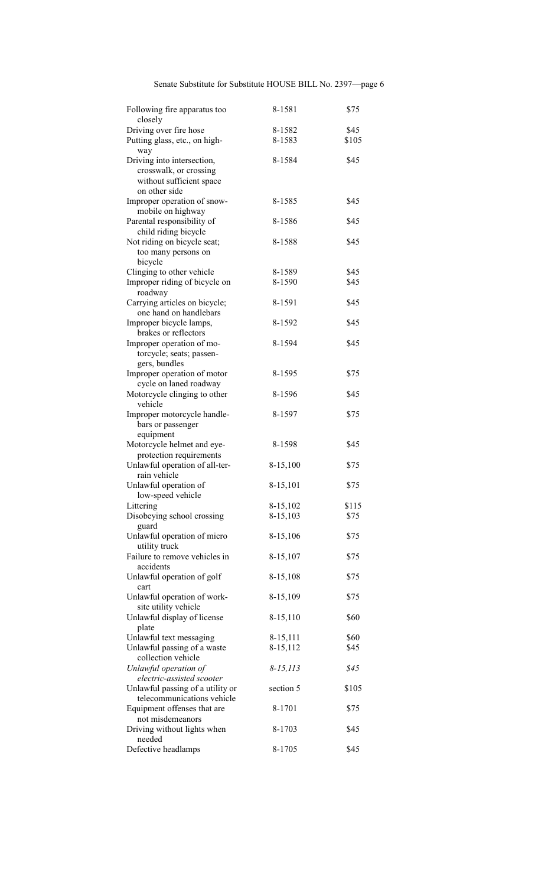Senate Substitute for Substitute HOUSE BILL No. 2397—page 6

| Following fire apparatus too<br>closely         | 8-1581        | \$75  |
|-------------------------------------------------|---------------|-------|
| Driving over fire hose                          | 8-1582        | \$45  |
| Putting glass, etc., on high-<br>way            | 8-1583        | \$105 |
| Driving into intersection,                      | 8-1584        | \$45  |
| crosswalk, or crossing                          |               |       |
| without sufficient space<br>on other side       |               |       |
|                                                 |               | \$45  |
| Improper operation of snow-                     | 8-1585        |       |
| mobile on highway<br>Parental responsibility of | 8-1586        | \$45  |
| child riding bicycle                            |               |       |
| Not riding on bicycle seat;                     | 8-1588        | \$45  |
| too many persons on                             |               |       |
| bicycle                                         |               |       |
| Clinging to other vehicle                       | 8-1589        | \$45  |
| Improper riding of bicycle on                   | 8-1590        | \$45  |
| roadway                                         |               |       |
| Carrying articles on bicycle;                   | 8-1591        | \$45  |
|                                                 |               |       |
| one hand on handlebars                          |               |       |
| Improper bicycle lamps,                         | 8-1592        | \$45  |
| brakes or reflectors                            |               |       |
| Improper operation of mo-                       | 8-1594        | \$45  |
| torcycle; seats; passen-                        |               |       |
| gers, bundles                                   |               |       |
| Improper operation of motor                     | 8-1595        | \$75  |
|                                                 |               |       |
| cycle on laned roadway                          |               |       |
| Motorcycle clinging to other                    | 8-1596        | \$45  |
| vehicle                                         |               |       |
| Improper motorcycle handle-                     | 8-1597        | \$75  |
| bars or passenger                               |               |       |
| equipment                                       |               |       |
| Motorcycle helmet and eye-                      | 8-1598        | \$45  |
|                                                 |               |       |
| protection requirements                         |               |       |
| Unlawful operation of all-ter-                  | 8-15,100      | \$75  |
| rain vehicle                                    |               |       |
| Unlawful operation of                           | 8-15,101      | \$75  |
| low-speed vehicle                               |               |       |
| Littering                                       | 8-15,102      | \$115 |
| Disobeying school crossing                      | 8-15,103      | \$75  |
| guard                                           |               |       |
|                                                 |               |       |
| Unlawful operation of micro                     | 8-15,106      | \$75  |
| utility truck                                   |               |       |
| Failure to remove vehicles in                   | 8-15,107      | \$75  |
| accidents                                       |               |       |
| Unlawful operation of golf                      | 8-15,108      | \$75  |
| cart                                            |               |       |
| Unlawful operation of work-                     | 8-15,109      | \$75  |
|                                                 |               |       |
| site utility vehicle                            |               |       |
| Unlawful display of license                     | 8-15,110      | \$60  |
| plate                                           |               |       |
| Unlawful text messaging                         | 8-15,111      | \$60  |
| Unlawful passing of a waste                     | 8-15,112      | \$45  |
| collection vehicle                              |               |       |
| Unlawful operation of                           | $8 - 15, 113$ | \$45  |
| electric-assisted scooter                       |               |       |
|                                                 |               |       |
| Unlawful passing of a utility or                | section 5     | \$105 |
| telecommunications vehicle                      |               |       |
| Equipment offenses that are                     | 8-1701        | \$75  |
| not misdemeanors                                |               |       |
| Driving without lights when                     | 8-1703        | \$45  |
| needed                                          |               |       |
| Defective headlamps                             | 8-1705        | \$45  |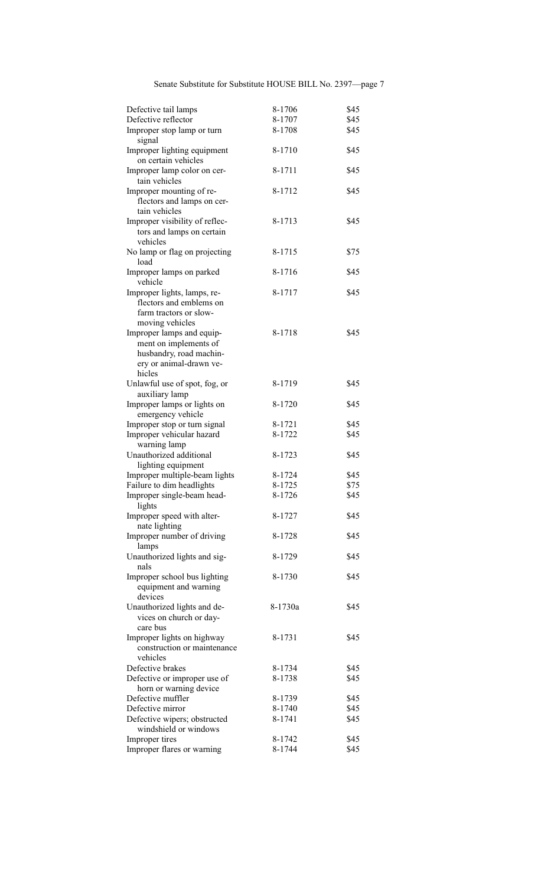Senate Substitute for Substitute HOUSE BILL No. 2397—page 7

| Defective tail lamps                                                                                     | 8-1706           | \$45 |
|----------------------------------------------------------------------------------------------------------|------------------|------|
| Defective reflector                                                                                      | 8-1707           | \$45 |
|                                                                                                          |                  |      |
| Improper stop lamp or turn<br>signal                                                                     | 8-1708           | \$45 |
| Improper lighting equipment<br>on certain vehicles                                                       | 8-1710           | \$45 |
| Improper lamp color on cer-<br>tain vehicles                                                             | 8-1711           | \$45 |
| Improper mounting of re-<br>flectors and lamps on cer-<br>tain vehicles                                  | 8-1712           | \$45 |
| Improper visibility of reflec-<br>tors and lamps on certain<br>vehicles                                  | 8-1713           | \$45 |
| No lamp or flag on projecting<br>load                                                                    | 8-1715           | \$75 |
| Improper lamps on parked<br>vehicle                                                                      | 8-1716           | \$45 |
| Improper lights, lamps, re-<br>flectors and emblems on<br>farm tractors or slow-<br>moving vehicles      | 8-1717           | \$45 |
| Improper lamps and equip-<br>ment on implements of<br>husbandry, road machin-<br>ery or animal-drawn ve- | 8-1718           | \$45 |
| hicles                                                                                                   |                  |      |
| Unlawful use of spot, fog, or<br>auxiliary lamp                                                          | 8-1719           | \$45 |
| Improper lamps or lights on<br>emergency vehicle                                                         | 8-1720           | \$45 |
|                                                                                                          |                  | \$45 |
| Improper stop or turn signal<br>Improper vehicular hazard                                                | 8-1721<br>8-1722 | \$45 |
| warning lamp<br>Unauthorized additional<br>lighting equipment                                            | 8-1723           | \$45 |
| Improper multiple-beam lights                                                                            | 8-1724           | \$45 |
| Failure to dim headlights                                                                                | 8-1725           | \$75 |
| Improper single-beam head-                                                                               | 8-1726           | \$45 |
| lights                                                                                                   |                  |      |
| Improper speed with alter-<br>nate lighting                                                              | 8-1727           | \$45 |
| Improper number of driving<br>lamps                                                                      | 8-1728           | \$45 |
| Unauthorized lights and sig-<br>nals                                                                     | 8-1729           | \$45 |
| Improper school bus lighting<br>equipment and warning<br>devices                                         | 8-1730           | \$45 |
| Unauthorized lights and de-<br>vices on church or day-                                                   | 8-1730a          | \$45 |
| care bus<br>Improper lights on highway<br>construction or maintenance<br>vehicles                        | 8-1731           | \$45 |
| Defective brakes                                                                                         | 8-1734           | \$45 |
| Defective or improper use of                                                                             | 8-1738           | \$45 |
| horn or warning device                                                                                   |                  |      |
| Defective muffler                                                                                        | 8-1739           | \$45 |
| Defective mirror                                                                                         | 8-1740           | \$45 |
| Defective wipers; obstructed<br>windshield or windows                                                    | 8-1741           | \$45 |
| Improper tires                                                                                           | 8-1742           | \$45 |
| Improper flares or warning                                                                               | 8-1744           | \$45 |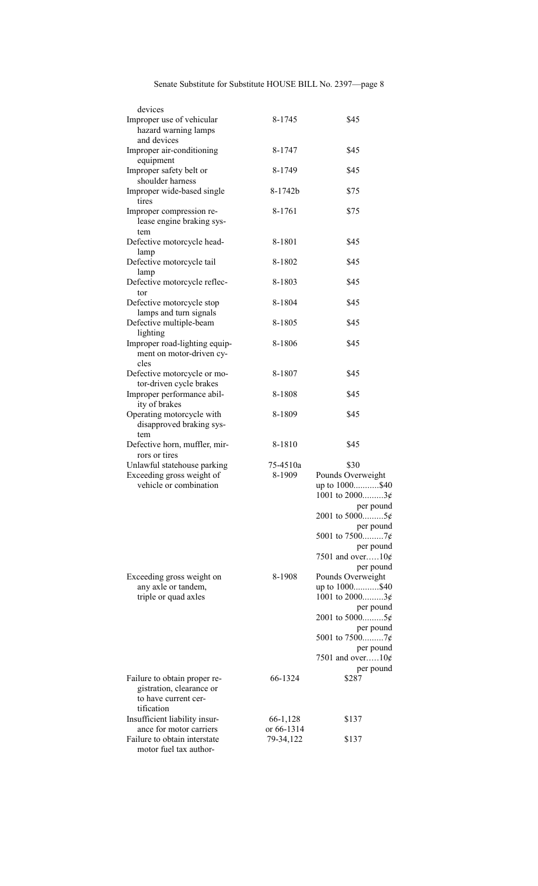| devices                                                                |                        |                                     |
|------------------------------------------------------------------------|------------------------|-------------------------------------|
| Improper use of vehicular<br>hazard warning lamps                      | 8-1745                 | \$45                                |
| and devices                                                            |                        |                                     |
| Improper air-conditioning                                              | 8-1747                 | \$45                                |
| equipment<br>Improper safety belt or<br>shoulder harness               | 8-1749                 | \$45                                |
| Improper wide-based single                                             | 8-1742b                | \$75                                |
| tires                                                                  |                        |                                     |
| Improper compression re-                                               | 8-1761                 | \$75                                |
| lease engine braking sys-<br>tem                                       |                        |                                     |
| Defective motorcycle head-                                             | 8-1801                 | \$45                                |
| lamp<br>Defective motorcycle tail                                      | 8-1802                 | \$45                                |
| lamp<br>Defective motorcycle reflec-                                   | 8-1803                 | \$45                                |
| tor                                                                    |                        |                                     |
| Defective motorcycle stop<br>lamps and turn signals                    | 8-1804                 | \$45                                |
| Defective multiple-beam<br>lighting                                    | 8-1805                 | \$45                                |
| Improper road-lighting equip-<br>ment on motor-driven cy-<br>cles      | 8-1806                 | \$45                                |
| Defective motorcycle or mo-                                            | 8-1807                 | \$45                                |
| tor-driven cycle brakes<br>Improper performance abil-                  | 8-1808                 | \$45                                |
| ity of brakes<br>Operating motorcycle with<br>disapproved braking sys- | 8-1809                 | \$45                                |
| tem<br>Defective horn, muffler, mir-                                   | 8-1810                 | \$45                                |
| rors or tires                                                          |                        |                                     |
| Unlawful statehouse parking                                            | 75-4510a<br>8-1909     | \$30                                |
| Exceeding gross weight of<br>vehicle or combination                    |                        | Pounds Overweight<br>up to 1000\$40 |
|                                                                        |                        | 1001 to $2000$ 3¢                   |
|                                                                        |                        | per pound                           |
|                                                                        |                        | 2001 to 50005¢                      |
|                                                                        |                        | per pound                           |
|                                                                        |                        |                                     |
|                                                                        |                        | per pound                           |
|                                                                        |                        | 7501 and over10 $\phi$              |
|                                                                        |                        | per pound                           |
| Exceeding gross weight on                                              | 8-1908                 | Pounds Overweight                   |
| any axle or tandem,                                                    |                        | up to 1000\$40                      |
| triple or quad axles                                                   |                        | 1001 to $2000$ 3¢                   |
|                                                                        |                        | per pound<br>2001 to 50005¢         |
|                                                                        |                        | per pound<br>5001 to 75007¢         |
|                                                                        |                        | per pound                           |
|                                                                        |                        | 7501 and over10 $\phi$              |
|                                                                        |                        | per pound                           |
| Failure to obtain proper re-                                           | 66-1324                | \$287                               |
| gistration, clearance or                                               |                        |                                     |
| to have current cer-                                                   |                        |                                     |
| tification                                                             |                        | \$137                               |
| Insufficient liability insur-<br>ance for motor carriers               | 66-1,128<br>or 66-1314 |                                     |
| Failure to obtain interstate<br>motor fuel tax author-                 | 79-34,122              | \$137                               |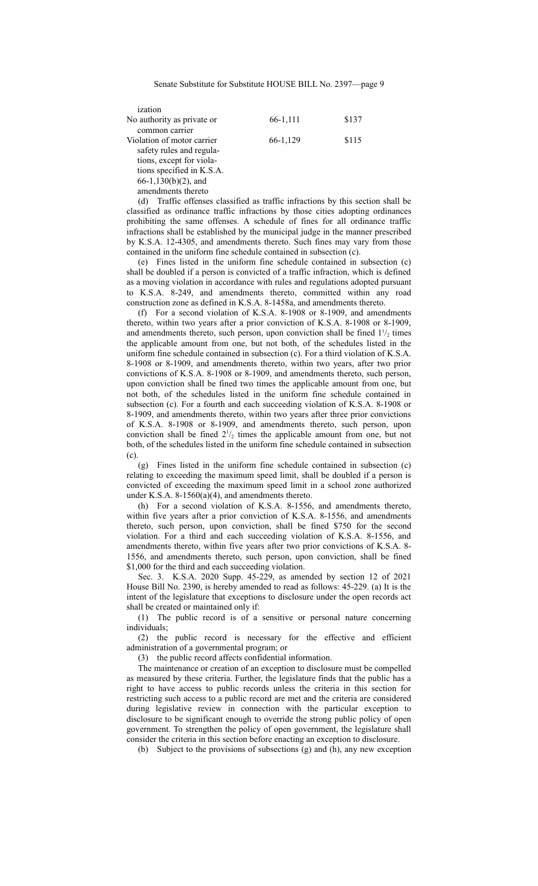| ization                    |          |       |
|----------------------------|----------|-------|
| No authority as private or | 66-1,111 | \$137 |
| common carrier             |          |       |
| Violation of motor carrier | 66-1,129 | \$115 |
| safety rules and regula-   |          |       |
| tions, except for viola-   |          |       |
| tions specified in K.S.A.  |          |       |
| $66-1,130(b)(2)$ , and     |          |       |
| amendments thereto         |          |       |

(d) Traffic offenses classified as traffic infractions by this section shall be classified as ordinance traffic infractions by those cities adopting ordinances prohibiting the same offenses. A schedule of fines for all ordinance traffic infractions shall be established by the municipal judge in the manner prescribed by K.S.A. 12-4305, and amendments thereto. Such fines may vary from those contained in the uniform fine schedule contained in subsection (c).

(e) Fines listed in the uniform fine schedule contained in subsection (c) shall be doubled if a person is convicted of a traffic infraction, which is defined as a moving violation in accordance with rules and regulations adopted pursuant to K.S.A. 8-249, and amendments thereto, committed within any road construction zone as defined in K.S.A. 8-1458a, and amendments thereto.

(f) For a second violation of K.S.A. 8-1908 or 8-1909, and amendments thereto, within two years after a prior conviction of K.S.A. 8-1908 or 8-1909, and amendments thereto, such person, upon conviction shall be fined  $1\frac{1}{2}$  times the applicable amount from one, but not both, of the schedules listed in the uniform fine schedule contained in subsection (c). For a third violation of K.S.A. 8-1908 or 8-1909, and amendments thereto, within two years, after two prior convictions of K.S.A. 8-1908 or 8-1909, and amendments thereto, such person, upon conviction shall be fined two times the applicable amount from one, but not both, of the schedules listed in the uniform fine schedule contained in subsection (c). For a fourth and each succeeding violation of K.S.A. 8-1908 or 8-1909, and amendments thereto, within two years after three prior convictions of K.S.A. 8-1908 or 8-1909, and amendments thereto, such person, upon conviction shall be fined  $2^{1/2}$  times the applicable amount from one, but not both, of the schedules listed in the uniform fine schedule contained in subsection (c).

(g) Fines listed in the uniform fine schedule contained in subsection (c) relating to exceeding the maximum speed limit, shall be doubled if a person is convicted of exceeding the maximum speed limit in a school zone authorized under K.S.A. 8-1560(a)(4), and amendments thereto.

(h) For a second violation of K.S.A. 8-1556, and amendments thereto, within five years after a prior conviction of K.S.A. 8-1556, and amendments thereto, such person, upon conviction, shall be fined \$750 for the second violation. For a third and each succeeding violation of K.S.A. 8-1556, and amendments thereto, within five years after two prior convictions of K.S.A. 8- 1556, and amendments thereto, such person, upon conviction, shall be fined \$1,000 for the third and each succeeding violation.

Sec. 3. K.S.A. 2020 Supp. 45-229, as amended by section 12 of 2021 House Bill No. 2390, is hereby amended to read as follows: 45-229. (a) It is the intent of the legislature that exceptions to disclosure under the open records act shall be created or maintained only if:

(1) The public record is of a sensitive or personal nature concerning individuals;

(2) the public record is necessary for the effective and efficient administration of a governmental program; or

(3) the public record affects confidential information.

The maintenance or creation of an exception to disclosure must be compelled as measured by these criteria. Further, the legislature finds that the public has a right to have access to public records unless the criteria in this section for restricting such access to a public record are met and the criteria are considered during legislative review in connection with the particular exception to disclosure to be significant enough to override the strong public policy of open government. To strengthen the policy of open government, the legislature shall consider the criteria in this section before enacting an exception to disclosure.

(b) Subject to the provisions of subsections (g) and (h), any new exception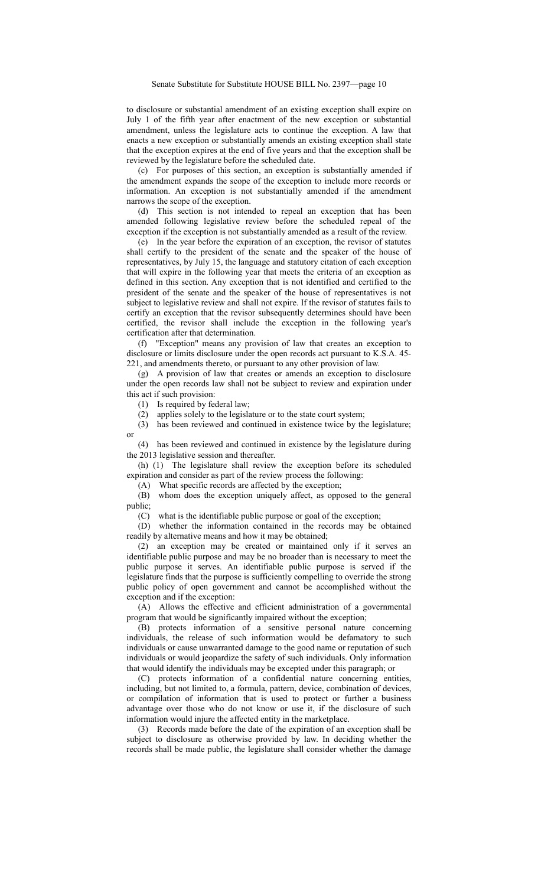to disclosure or substantial amendment of an existing exception shall expire on July 1 of the fifth year after enactment of the new exception or substantial amendment, unless the legislature acts to continue the exception. A law that enacts a new exception or substantially amends an existing exception shall state that the exception expires at the end of five years and that the exception shall be reviewed by the legislature before the scheduled date.

(c) For purposes of this section, an exception is substantially amended if the amendment expands the scope of the exception to include more records or information. An exception is not substantially amended if the amendment narrows the scope of the exception.

(d) This section is not intended to repeal an exception that has been amended following legislative review before the scheduled repeal of the exception if the exception is not substantially amended as a result of the review.

(e) In the year before the expiration of an exception, the revisor of statutes shall certify to the president of the senate and the speaker of the house of representatives, by July 15, the language and statutory citation of each exception that will expire in the following year that meets the criteria of an exception as defined in this section. Any exception that is not identified and certified to the president of the senate and the speaker of the house of representatives is not subject to legislative review and shall not expire. If the revisor of statutes fails to certify an exception that the revisor subsequently determines should have been certified, the revisor shall include the exception in the following year's certification after that determination.

(f) "Exception" means any provision of law that creates an exception to disclosure or limits disclosure under the open records act pursuant to K.S.A. 45- 221, and amendments thereto, or pursuant to any other provision of law.

(g) A provision of law that creates or amends an exception to disclosure under the open records law shall not be subject to review and expiration under this act if such provision:

(1) Is required by federal law;

(2) applies solely to the legislature or to the state court system;

(3) has been reviewed and continued in existence twice by the legislature; or

(4) has been reviewed and continued in existence by the legislature during the 2013 legislative session and thereafter.

(h) (1) The legislature shall review the exception before its scheduled expiration and consider as part of the review process the following:

(A) What specific records are affected by the exception;

(B) whom does the exception uniquely affect, as opposed to the general public;

(C) what is the identifiable public purpose or goal of the exception;

(D) whether the information contained in the records may be obtained readily by alternative means and how it may be obtained;

(2) an exception may be created or maintained only if it serves an identifiable public purpose and may be no broader than is necessary to meet the public purpose it serves. An identifiable public purpose is served if the legislature finds that the purpose is sufficiently compelling to override the strong public policy of open government and cannot be accomplished without the exception and if the exception:

(A) Allows the effective and efficient administration of a governmental program that would be significantly impaired without the exception;

(B) protects information of a sensitive personal nature concerning individuals, the release of such information would be defamatory to such individuals or cause unwarranted damage to the good name or reputation of such individuals or would jeopardize the safety of such individuals. Only information that would identify the individuals may be excepted under this paragraph; or

(C) protects information of a confidential nature concerning entities, including, but not limited to, a formula, pattern, device, combination of devices, or compilation of information that is used to protect or further a business advantage over those who do not know or use it, if the disclosure of such information would injure the affected entity in the marketplace.

(3) Records made before the date of the expiration of an exception shall be subject to disclosure as otherwise provided by law. In deciding whether the records shall be made public, the legislature shall consider whether the damage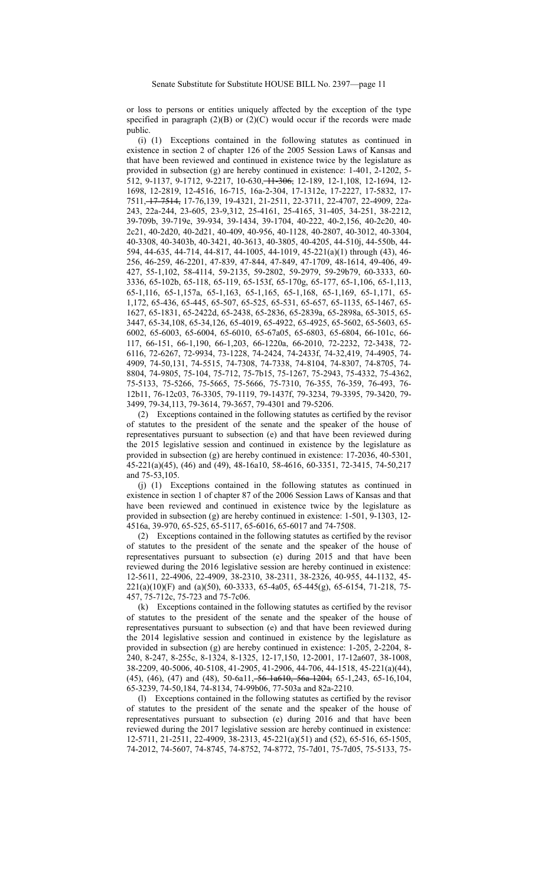or loss to persons or entities uniquely affected by the exception of the type specified in paragraph  $(2)(B)$  or  $(2)(C)$  would occur if the records were made public.

(i) (1) Exceptions contained in the following statutes as continued in existence in section 2 of chapter 126 of the 2005 Session Laws of Kansas and that have been reviewed and continued in existence twice by the legislature as provided in subsection (g) are hereby continued in existence: 1-401, 2-1202, 5- 512, 9-1137, 9-1712, 9-2217, 10-630, 11-306, 12-189, 12-1,108, 12-1694, 12- 1698, 12-2819, 12-4516, 16-715, 16a-2-304, 17-1312e, 17-2227, 17-5832, 17- 7511, 17-7514, 17-76,139, 19-4321, 21-2511, 22-3711, 22-4707, 22-4909, 22a-243, 22a-244, 23-605, 23-9,312, 25-4161, 25-4165, 31-405, 34-251, 38-2212, 39-709b, 39-719e, 39-934, 39-1434, 39-1704, 40-222, 40-2,156, 40-2c20, 40- 2c21, 40-2d20, 40-2d21, 40-409, 40-956, 40-1128, 40-2807, 40-3012, 40-3304, 40-3308, 40-3403b, 40-3421, 40-3613, 40-3805, 40-4205, 44-510j, 44-550b, 44- 594, 44-635, 44-714, 44-817, 44-1005, 44-1019, 45-221(a)(1) through (43), 46- 256, 46-259, 46-2201, 47-839, 47-844, 47-849, 47-1709, 48-1614, 49-406, 49- 427, 55-1,102, 58-4114, 59-2135, 59-2802, 59-2979, 59-29b79, 60-3333, 60- 3336, 65-102b, 65-118, 65-119, 65-153f, 65-170g, 65-177, 65-1,106, 65-1,113, 65-1,116, 65-1,157a, 65-1,163, 65-1,165, 65-1,168, 65-1,169, 65-1,171, 65- 1,172, 65-436, 65-445, 65-507, 65-525, 65-531, 65-657, 65-1135, 65-1467, 65- 1627, 65-1831, 65-2422d, 65-2438, 65-2836, 65-2839a, 65-2898a, 65-3015, 65- 3447, 65-34,108, 65-34,126, 65-4019, 65-4922, 65-4925, 65-5602, 65-5603, 65- 6002, 65-6003, 65-6004, 65-6010, 65-67a05, 65-6803, 65-6804, 66-101c, 66- 117, 66-151, 66-1,190, 66-1,203, 66-1220a, 66-2010, 72-2232, 72-3438, 72- 6116, 72-6267, 72-9934, 73-1228, 74-2424, 74-2433f, 74-32,419, 74-4905, 74- 4909, 74-50,131, 74-5515, 74-7308, 74-7338, 74-8104, 74-8307, 74-8705, 74- 8804, 74-9805, 75-104, 75-712, 75-7b15, 75-1267, 75-2943, 75-4332, 75-4362, 75-5133, 75-5266, 75-5665, 75-5666, 75-7310, 76-355, 76-359, 76-493, 76- 12b11, 76-12c03, 76-3305, 79-1119, 79-1437f, 79-3234, 79-3395, 79-3420, 79- 3499, 79-34,113, 79-3614, 79-3657, 79-4301 and 79-5206.

(2) Exceptions contained in the following statutes as certified by the revisor of statutes to the president of the senate and the speaker of the house of representatives pursuant to subsection (e) and that have been reviewed during the 2015 legislative session and continued in existence by the legislature as provided in subsection (g) are hereby continued in existence: 17-2036, 40-5301, 45-221(a)(45), (46) and (49), 48-16a10, 58-4616, 60-3351, 72-3415, 74-50,217 and 75-53,105.

(j) (1) Exceptions contained in the following statutes as continued in existence in section 1 of chapter 87 of the 2006 Session Laws of Kansas and that have been reviewed and continued in existence twice by the legislature as provided in subsection (g) are hereby continued in existence: 1-501, 9-1303, 12- 4516a, 39-970, 65-525, 65-5117, 65-6016, 65-6017 and 74-7508.

(2) Exceptions contained in the following statutes as certified by the revisor of statutes to the president of the senate and the speaker of the house of representatives pursuant to subsection (e) during 2015 and that have been reviewed during the 2016 legislative session are hereby continued in existence: 12-5611, 22-4906, 22-4909, 38-2310, 38-2311, 38-2326, 40-955, 44-1132, 45- 221(a)(10)(F) and (a)(50), 60-3333, 65-4a05, 65-445(g), 65-6154, 71-218, 75- 457, 75-712c, 75-723 and 75-7c06.

(k) Exceptions contained in the following statutes as certified by the revisor of statutes to the president of the senate and the speaker of the house of representatives pursuant to subsection (e) and that have been reviewed during the 2014 legislative session and continued in existence by the legislature as provided in subsection (g) are hereby continued in existence: 1-205, 2-2204, 8- 240, 8-247, 8-255c, 8-1324, 8-1325, 12-17,150, 12-2001, 17-12a607, 38-1008, 38-2209, 40-5006, 40-5108, 41-2905, 41-2906, 44-706, 44-1518, 45-221(a)(44), (45), (46), (47) and (48), 50-6a11, 56-1a610, 56a-1204, 65-1,243, 65-16,104, 65-3239, 74-50,184, 74-8134, 74-99b06, 77-503a and 82a-2210.

(l) Exceptions contained in the following statutes as certified by the revisor of statutes to the president of the senate and the speaker of the house of representatives pursuant to subsection (e) during 2016 and that have been reviewed during the 2017 legislative session are hereby continued in existence: 12-5711, 21-2511, 22-4909, 38-2313, 45-221(a)(51) and (52), 65-516, 65-1505, 74-2012, 74-5607, 74-8745, 74-8752, 74-8772, 75-7d01, 75-7d05, 75-5133, 75-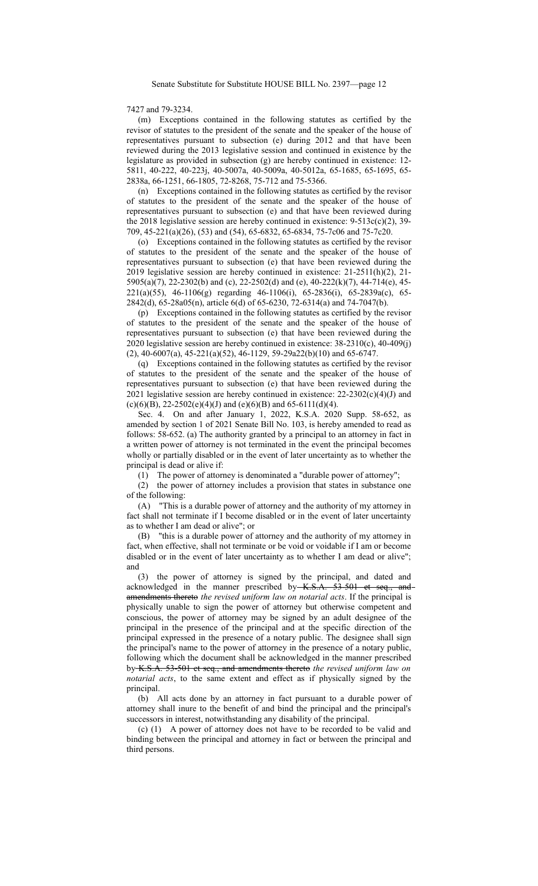## 7427 and 79-3234.

(m) Exceptions contained in the following statutes as certified by the revisor of statutes to the president of the senate and the speaker of the house of representatives pursuant to subsection (e) during 2012 and that have been reviewed during the 2013 legislative session and continued in existence by the legislature as provided in subsection (g) are hereby continued in existence: 12- 5811, 40-222, 40-223j, 40-5007a, 40-5009a, 40-5012a, 65-1685, 65-1695, 65- 2838a, 66-1251, 66-1805, 72-8268, 75-712 and 75-5366.

(n) Exceptions contained in the following statutes as certified by the revisor of statutes to the president of the senate and the speaker of the house of representatives pursuant to subsection (e) and that have been reviewed during the 2018 legislative session are hereby continued in existence:  $9-513c(c)(2)$ , 39-709, 45-221(a)(26), (53) and (54), 65-6832, 65-6834, 75-7c06 and 75-7c20.

(o) Exceptions contained in the following statutes as certified by the revisor of statutes to the president of the senate and the speaker of the house of representatives pursuant to subsection (e) that have been reviewed during the 2019 legislative session are hereby continued in existence: 21-2511(h)(2), 21- 5905(a)(7), 22-2302(b) and (c), 22-2502(d) and (e), 40-222(k)(7), 44-714(e), 45- 221(a)(55), 46-1106(g) regarding 46-1106(i), 65-2836(i), 65-2839a(c), 65- 2842(d), 65-28a05(n), article 6(d) of 65-6230, 72-6314(a) and 74-7047(b).

(p) Exceptions contained in the following statutes as certified by the revisor of statutes to the president of the senate and the speaker of the house of representatives pursuant to subsection (e) that have been reviewed during the 2020 legislative session are hereby continued in existence: 38-2310(c), 40-409(j) (2), 40-6007(a), 45-221(a)(52), 46-1129, 59-29a22(b)(10) and 65-6747.

(q) Exceptions contained in the following statutes as certified by the revisor of statutes to the president of the senate and the speaker of the house of representatives pursuant to subsection (e) that have been reviewed during the 2021 legislative session are hereby continued in existence:  $22-2302(c)(4)(J)$  and (c)(6)(B), 22-2502(e)(4)(J) and (e)(6)(B) and 65-6111(d)(4).

Sec. 4. On and after January 1, 2022, K.S.A. 2020 Supp. 58-652, as amended by section 1 of 2021 Senate Bill No. 103, is hereby amended to read as follows: 58-652. (a) The authority granted by a principal to an attorney in fact in a written power of attorney is not terminated in the event the principal becomes wholly or partially disabled or in the event of later uncertainty as to whether the principal is dead or alive if:

(1) The power of attorney is denominated a "durable power of attorney";

(2) the power of attorney includes a provision that states in substance one of the following:

(A) "This is a durable power of attorney and the authority of my attorney in fact shall not terminate if I become disabled or in the event of later uncertainty as to whether I am dead or alive"; or

(B) "this is a durable power of attorney and the authority of my attorney in fact, when effective, shall not terminate or be void or voidable if I am or become disabled or in the event of later uncertainty as to whether I am dead or alive"; and  $(3)$ 

the power of attorney is signed by the principal, and dated and acknowledged in the manner prescribed by K.S.A. 53-501 et seq., andamendments thereto *the revised uniform law on notarial acts*. If the principal is physically unable to sign the power of attorney but otherwise competent and conscious, the power of attorney may be signed by an adult designee of the principal in the presence of the principal and at the specific direction of the principal expressed in the presence of a notary public. The designee shall sign the principal's name to the power of attorney in the presence of a notary public, following which the document shall be acknowledged in the manner prescribed by K.S.A. 53-501 et seq., and amendments thereto *the revised uniform law on notarial acts*, to the same extent and effect as if physically signed by the principal.

(b) All acts done by an attorney in fact pursuant to a durable power of attorney shall inure to the benefit of and bind the principal and the principal's successors in interest, notwithstanding any disability of the principal.

(c) (1) A power of attorney does not have to be recorded to be valid and binding between the principal and attorney in fact or between the principal and third persons.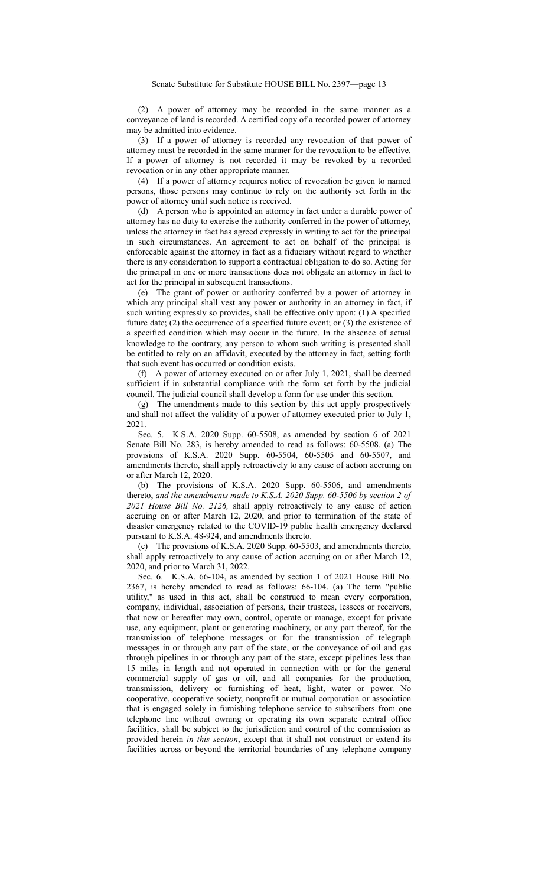(2) A power of attorney may be recorded in the same manner as a conveyance of land is recorded. A certified copy of a recorded power of attorney may be admitted into evidence.

(3) If a power of attorney is recorded any revocation of that power of attorney must be recorded in the same manner for the revocation to be effective. If a power of attorney is not recorded it may be revoked by a recorded revocation or in any other appropriate manner.

(4) If a power of attorney requires notice of revocation be given to named persons, those persons may continue to rely on the authority set forth in the power of attorney until such notice is received.

(d) A person who is appointed an attorney in fact under a durable power of attorney has no duty to exercise the authority conferred in the power of attorney, unless the attorney in fact has agreed expressly in writing to act for the principal in such circumstances. An agreement to act on behalf of the principal is enforceable against the attorney in fact as a fiduciary without regard to whether there is any consideration to support a contractual obligation to do so. Acting for the principal in one or more transactions does not obligate an attorney in fact to act for the principal in subsequent transactions.

(e) The grant of power or authority conferred by a power of attorney in which any principal shall vest any power or authority in an attorney in fact, if such writing expressly so provides, shall be effective only upon: (1) A specified future date; (2) the occurrence of a specified future event; or  $(3)$  the existence of a specified condition which may occur in the future. In the absence of actual knowledge to the contrary, any person to whom such writing is presented shall be entitled to rely on an affidavit, executed by the attorney in fact, setting forth that such event has occurred or condition exists.

(f) A power of attorney executed on or after July 1, 2021, shall be deemed sufficient if in substantial compliance with the form set forth by the judicial council. The judicial council shall develop a form for use under this section.

(g) The amendments made to this section by this act apply prospectively and shall not affect the validity of a power of attorney executed prior to July 1, 2021.

Sec. 5. K.S.A. 2020 Supp. 60-5508, as amended by section 6 of 2021 Senate Bill No. 283, is hereby amended to read as follows: 60-5508. (a) The provisions of K.S.A. 2020 Supp. 60-5504, 60-5505 and 60-5507, and amendments thereto, shall apply retroactively to any cause of action accruing on or after March 12, 2020.

(b) The provisions of K.S.A. 2020 Supp. 60-5506, and amendments thereto, *and the amendments made to K.S.A. 2020 Supp. 60-5506 by section 2 of 2021 House Bill No. 2126,* shall apply retroactively to any cause of action accruing on or after March 12, 2020, and prior to termination of the state of disaster emergency related to the COVID-19 public health emergency declared pursuant to K.S.A. 48-924, and amendments thereto.

(c) The provisions of K.S.A. 2020 Supp. 60-5503, and amendments thereto, shall apply retroactively to any cause of action accruing on or after March 12, 2020, and prior to March 31, 2022.

Sec. 6. K.S.A. 66-104, as amended by section 1 of 2021 House Bill No. 2367, is hereby amended to read as follows: 66-104. (a) The term "public utility," as used in this act, shall be construed to mean every corporation, company, individual, association of persons, their trustees, lessees or receivers, that now or hereafter may own, control, operate or manage, except for private use, any equipment, plant or generating machinery, or any part thereof, for the transmission of telephone messages or for the transmission of telegraph messages in or through any part of the state, or the conveyance of oil and gas through pipelines in or through any part of the state, except pipelines less than 15 miles in length and not operated in connection with or for the general commercial supply of gas or oil, and all companies for the production, transmission, delivery or furnishing of heat, light, water or power. No cooperative, cooperative society, nonprofit or mutual corporation or association that is engaged solely in furnishing telephone service to subscribers from one telephone line without owning or operating its own separate central office facilities, shall be subject to the jurisdiction and control of the commission as provided herein *in this section*, except that it shall not construct or extend its facilities across or beyond the territorial boundaries of any telephone company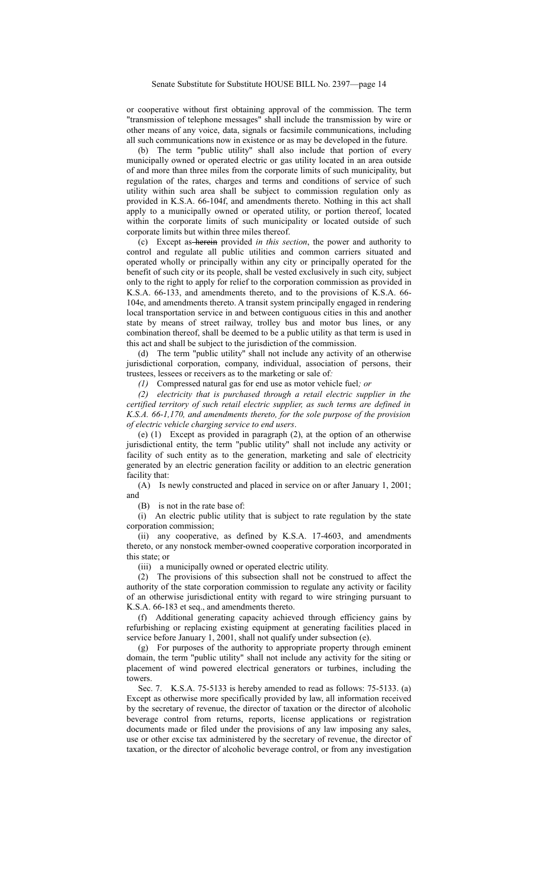or cooperative without first obtaining approval of the commission. The term "transmission of telephone messages" shall include the transmission by wire or other means of any voice, data, signals or facsimile communications, including all such communications now in existence or as may be developed in the future.

(b) The term "public utility" shall also include that portion of every municipally owned or operated electric or gas utility located in an area outside of and more than three miles from the corporate limits of such municipality, but regulation of the rates, charges and terms and conditions of service of such utility within such area shall be subject to commission regulation only as provided in K.S.A. 66-104f, and amendments thereto. Nothing in this act shall apply to a municipally owned or operated utility, or portion thereof, located within the corporate limits of such municipality or located outside of such corporate limits but within three miles thereof.

(c) Except as herein provided *in this section*, the power and authority to control and regulate all public utilities and common carriers situated and operated wholly or principally within any city or principally operated for the benefit of such city or its people, shall be vested exclusively in such city, subject only to the right to apply for relief to the corporation commission as provided in K.S.A. 66-133, and amendments thereto, and to the provisions of K.S.A. 66- 104e, and amendments thereto. A transit system principally engaged in rendering local transportation service in and between contiguous cities in this and another state by means of street railway, trolley bus and motor bus lines, or any combination thereof, shall be deemed to be a public utility as that term is used in this act and shall be subject to the jurisdiction of the commission.

(d) The term "public utility" shall not include any activity of an otherwise jurisdictional corporation, company, individual, association of persons, their trustees, lessees or receivers as to the marketing or sale of*:*

*(1)* Compressed natural gas for end use as motor vehicle fuel*; or*

*(2) electricity that is purchased through a retail electric supplier in the certified territory of such retail electric supplier, as such terms are defined in K.S.A. 66-1,170, and amendments thereto, for the sole purpose of the provision of electric vehicle charging service to end users*.

(e) (1) Except as provided in paragraph (2), at the option of an otherwise jurisdictional entity, the term "public utility" shall not include any activity or facility of such entity as to the generation, marketing and sale of electricity generated by an electric generation facility or addition to an electric generation facility that:

(A) Is newly constructed and placed in service on or after January 1, 2001; and

(B) is not in the rate base of:

(i) An electric public utility that is subject to rate regulation by the state corporation commission;

(ii) any cooperative, as defined by K.S.A. 17-4603, and amendments thereto, or any nonstock member-owned cooperative corporation incorporated in this state; or

(iii) a municipally owned or operated electric utility.

(2) The provisions of this subsection shall not be construed to affect the authority of the state corporation commission to regulate any activity or facility of an otherwise jurisdictional entity with regard to wire stringing pursuant to K.S.A. 66-183 et seq., and amendments thereto.

(f) Additional generating capacity achieved through efficiency gains by refurbishing or replacing existing equipment at generating facilities placed in service before January 1, 2001, shall not qualify under subsection (e).

(g) For purposes of the authority to appropriate property through eminent domain, the term "public utility" shall not include any activity for the siting or placement of wind powered electrical generators or turbines, including the towers.

Sec. 7. K.S.A. 75-5133 is hereby amended to read as follows: 75-5133. (a) Except as otherwise more specifically provided by law, all information received by the secretary of revenue, the director of taxation or the director of alcoholic beverage control from returns, reports, license applications or registration documents made or filed under the provisions of any law imposing any sales, use or other excise tax administered by the secretary of revenue, the director of taxation, or the director of alcoholic beverage control, or from any investigation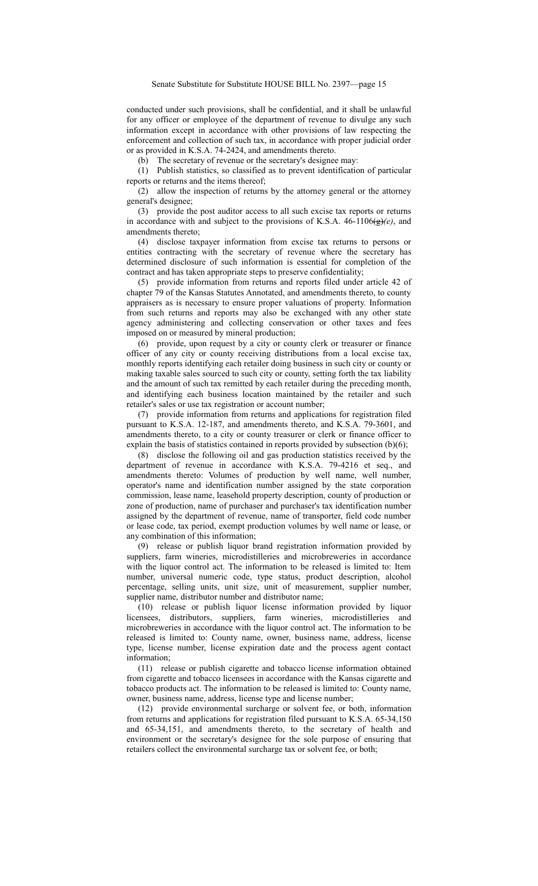conducted under such provisions, shall be confidential, and it shall be unlawful for any officer or employee of the department of revenue to divulge any such information except in accordance with other provisions of law respecting the enforcement and collection of such tax, in accordance with proper judicial order or as provided in K.S.A. 74-2424, and amendments thereto.

(b) The secretary of revenue or the secretary's designee may:

(1) Publish statistics, so classified as to prevent identification of particular reports or returns and the items thereof;

(2) allow the inspection of returns by the attorney general or the attorney general's designee;

(3) provide the post auditor access to all such excise tax reports or returns in accordance with and subject to the provisions of K.S.A.  $46-1106\left(\frac{g}{g}\right)(e)$ , and amendments thereto;

(4) disclose taxpayer information from excise tax returns to persons or entities contracting with the secretary of revenue where the secretary has determined disclosure of such information is essential for completion of the contract and has taken appropriate steps to preserve confidentiality;

(5) provide information from returns and reports filed under article 42 of chapter 79 of the Kansas Statutes Annotated, and amendments thereto, to county appraisers as is necessary to ensure proper valuations of property. Information from such returns and reports may also be exchanged with any other state agency administering and collecting conservation or other taxes and fees imposed on or measured by mineral production;

(6) provide, upon request by a city or county clerk or treasurer or finance officer of any city or county receiving distributions from a local excise tax, monthly reports identifying each retailer doing business in such city or county or making taxable sales sourced to such city or county, setting forth the tax liability and the amount of such tax remitted by each retailer during the preceding month, and identifying each business location maintained by the retailer and such retailer's sales or use tax registration or account number;

(7) provide information from returns and applications for registration filed pursuant to K.S.A. 12-187, and amendments thereto, and K.S.A. 79-3601, and amendments thereto, to a city or county treasurer or clerk or finance officer to explain the basis of statistics contained in reports provided by subsection (b)(6);

(8) disclose the following oil and gas production statistics received by the department of revenue in accordance with K.S.A. 79-4216 et seq., and amendments thereto: Volumes of production by well name, well number, operator's name and identification number assigned by the state corporation commission, lease name, leasehold property description, county of production or zone of production, name of purchaser and purchaser's tax identification number assigned by the department of revenue, name of transporter, field code number or lease code, tax period, exempt production volumes by well name or lease, or any combination of this information;

(9) release or publish liquor brand registration information provided by suppliers, farm wineries, microdistilleries and microbreweries in accordance with the liquor control act. The information to be released is limited to: Item number, universal numeric code, type status, product description, alcohol percentage, selling units, unit size, unit of measurement, supplier number, supplier name, distributor number and distributor name;

(10) release or publish liquor license information provided by liquor licensees, distributors, suppliers, farm wineries, microdistilleries and microbreweries in accordance with the liquor control act. The information to be released is limited to: County name, owner, business name, address, license type, license number, license expiration date and the process agent contact information;

(11) release or publish cigarette and tobacco license information obtained from cigarette and tobacco licensees in accordance with the Kansas cigarette and tobacco products act. The information to be released is limited to: County name, owner, business name, address, license type and license number;

(12) provide environmental surcharge or solvent fee, or both, information from returns and applications for registration filed pursuant to K.S.A. 65-34,150 and 65-34,151, and amendments thereto, to the secretary of health and environment or the secretary's designee for the sole purpose of ensuring that retailers collect the environmental surcharge tax or solvent fee, or both;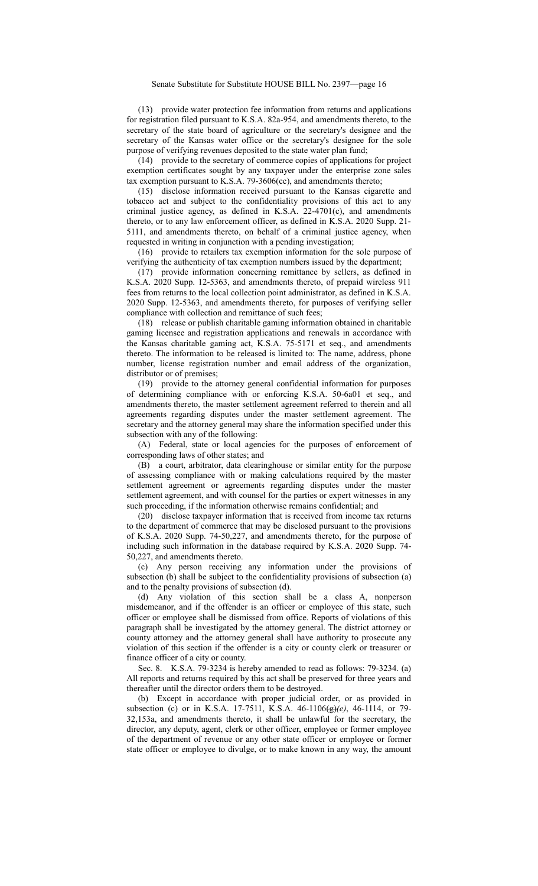(13) provide water protection fee information from returns and applications for registration filed pursuant to K.S.A. 82a-954, and amendments thereto, to the secretary of the state board of agriculture or the secretary's designee and the secretary of the Kansas water office or the secretary's designee for the sole purpose of verifying revenues deposited to the state water plan fund;

(14) provide to the secretary of commerce copies of applications for project exemption certificates sought by any taxpayer under the enterprise zone sales tax exemption pursuant to K.S.A. 79-3606(cc), and amendments thereto;

(15) disclose information received pursuant to the Kansas cigarette and tobacco act and subject to the confidentiality provisions of this act to any criminal justice agency, as defined in K.S.A. 22-4701(c), and amendments thereto, or to any law enforcement officer, as defined in K.S.A. 2020 Supp. 21- 5111, and amendments thereto, on behalf of a criminal justice agency, when requested in writing in conjunction with a pending investigation;

(16) provide to retailers tax exemption information for the sole purpose of verifying the authenticity of tax exemption numbers issued by the department;

(17) provide information concerning remittance by sellers, as defined in K.S.A. 2020 Supp. 12-5363, and amendments thereto, of prepaid wireless 911 fees from returns to the local collection point administrator, as defined in K.S.A. 2020 Supp. 12-5363, and amendments thereto, for purposes of verifying seller compliance with collection and remittance of such fees;

(18) release or publish charitable gaming information obtained in charitable gaming licensee and registration applications and renewals in accordance with the Kansas charitable gaming act, K.S.A. 75-5171 et seq., and amendments thereto. The information to be released is limited to: The name, address, phone number, license registration number and email address of the organization, distributor or of premises;

(19) provide to the attorney general confidential information for purposes of determining compliance with or enforcing K.S.A. 50-6a01 et seq., and amendments thereto, the master settlement agreement referred to therein and all agreements regarding disputes under the master settlement agreement. The secretary and the attorney general may share the information specified under this subsection with any of the following:

(A) Federal, state or local agencies for the purposes of enforcement of corresponding laws of other states; and

(B) a court, arbitrator, data clearinghouse or similar entity for the purpose of assessing compliance with or making calculations required by the master settlement agreement or agreements regarding disputes under the master settlement agreement, and with counsel for the parties or expert witnesses in any such proceeding, if the information otherwise remains confidential; and

(20) disclose taxpayer information that is received from income tax returns to the department of commerce that may be disclosed pursuant to the provisions of K.S.A. 2020 Supp. 74-50,227, and amendments thereto, for the purpose of including such information in the database required by K.S.A. 2020 Supp. 74- 50,227, and amendments thereto.

(c) Any person receiving any information under the provisions of subsection (b) shall be subject to the confidentiality provisions of subsection (a) and to the penalty provisions of subsection (d).

(d) Any violation of this section shall be a class A, nonperson misdemeanor, and if the offender is an officer or employee of this state, such officer or employee shall be dismissed from office. Reports of violations of this paragraph shall be investigated by the attorney general. The district attorney or county attorney and the attorney general shall have authority to prosecute any violation of this section if the offender is a city or county clerk or treasurer or finance officer of a city or county.

Sec. 8. K.S.A. 79-3234 is hereby amended to read as follows: 79-3234. (a) All reports and returns required by this act shall be preserved for three years and thereafter until the director orders them to be destroyed.

(b) Except in accordance with proper judicial order, or as provided in subsection (c) or in K.S.A. 17-7511, K.S.A. 46-1106(g)*(e)*, 46-1114, or 79- 32,153a, and amendments thereto, it shall be unlawful for the secretary, the director, any deputy, agent, clerk or other officer, employee or former employee of the department of revenue or any other state officer or employee or former state officer or employee to divulge, or to make known in any way, the amount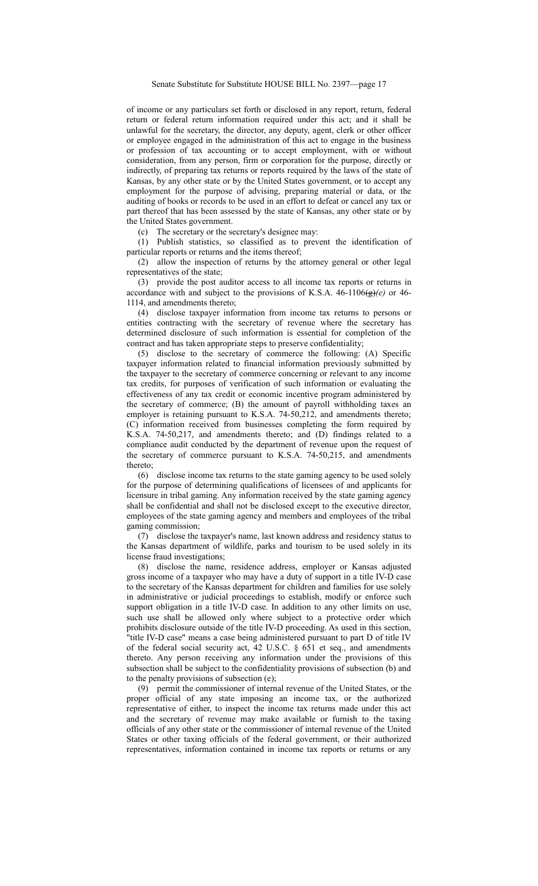of income or any particulars set forth or disclosed in any report, return, federal return or federal return information required under this act; and it shall be unlawful for the secretary, the director, any deputy, agent, clerk or other officer or employee engaged in the administration of this act to engage in the business or profession of tax accounting or to accept employment, with or without consideration, from any person, firm or corporation for the purpose, directly or indirectly, of preparing tax returns or reports required by the laws of the state of Kansas, by any other state or by the United States government, or to accept any employment for the purpose of advising, preparing material or data, or the auditing of books or records to be used in an effort to defeat or cancel any tax or part thereof that has been assessed by the state of Kansas, any other state or by the United States government.

(c) The secretary or the secretary's designee may:

(1) Publish statistics, so classified as to prevent the identification of particular reports or returns and the items thereof;

(2) allow the inspection of returns by the attorney general or other legal representatives of the state;

(3) provide the post auditor access to all income tax reports or returns in accordance with and subject to the provisions of K.S.A.  $46-1106\left(\frac{1}{2}\right)\left(e\right)$  or  $46-$ 1114, and amendments thereto;

(4) disclose taxpayer information from income tax returns to persons or entities contracting with the secretary of revenue where the secretary has determined disclosure of such information is essential for completion of the contract and has taken appropriate steps to preserve confidentiality;

(5) disclose to the secretary of commerce the following: (A) Specific taxpayer information related to financial information previously submitted by the taxpayer to the secretary of commerce concerning or relevant to any income tax credits, for purposes of verification of such information or evaluating the effectiveness of any tax credit or economic incentive program administered by the secretary of commerce; (B) the amount of payroll withholding taxes an employer is retaining pursuant to K.S.A. 74-50,212, and amendments thereto; (C) information received from businesses completing the form required by K.S.A. 74-50,217, and amendments thereto; and (D) findings related to a compliance audit conducted by the department of revenue upon the request of the secretary of commerce pursuant to K.S.A. 74-50,215, and amendments thereto;

(6) disclose income tax returns to the state gaming agency to be used solely for the purpose of determining qualifications of licensees of and applicants for licensure in tribal gaming. Any information received by the state gaming agency shall be confidential and shall not be disclosed except to the executive director, employees of the state gaming agency and members and employees of the tribal gaming commission;

(7) disclose the taxpayer's name, last known address and residency status to the Kansas department of wildlife, parks and tourism to be used solely in its license fraud investigations;

(8) disclose the name, residence address, employer or Kansas adjusted gross income of a taxpayer who may have a duty of support in a title IV-D case to the secretary of the Kansas department for children and families for use solely in administrative or judicial proceedings to establish, modify or enforce such support obligation in a title IV-D case. In addition to any other limits on use, such use shall be allowed only where subject to a protective order which prohibits disclosure outside of the title IV-D proceeding. As used in this section, "title IV-D case" means a case being administered pursuant to part D of title IV of the federal social security act, 42 U.S.C. § 651 et seq., and amendments thereto. Any person receiving any information under the provisions of this subsection shall be subject to the confidentiality provisions of subsection (b) and to the penalty provisions of subsection (e);

(9) permit the commissioner of internal revenue of the United States, or the proper official of any state imposing an income tax, or the authorized representative of either, to inspect the income tax returns made under this act and the secretary of revenue may make available or furnish to the taxing officials of any other state or the commissioner of internal revenue of the United States or other taxing officials of the federal government, or their authorized representatives, information contained in income tax reports or returns or any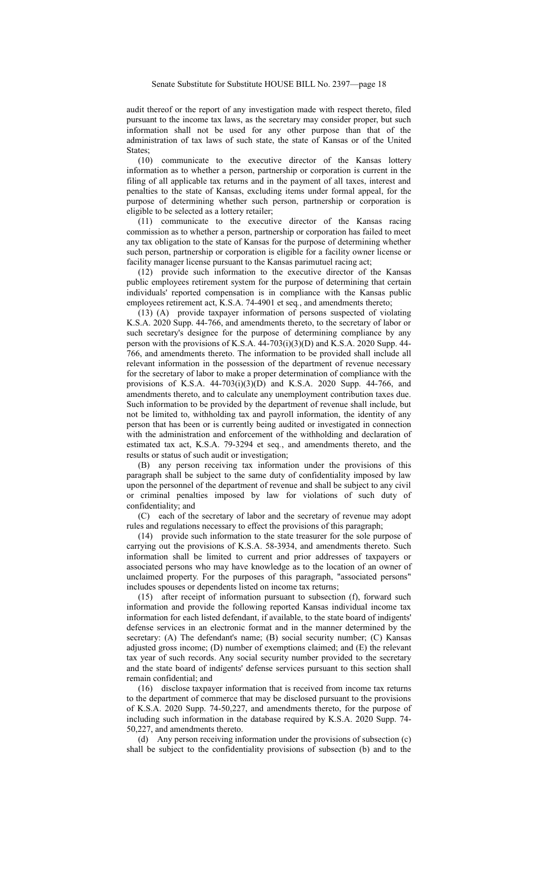audit thereof or the report of any investigation made with respect thereto, filed pursuant to the income tax laws, as the secretary may consider proper, but such information shall not be used for any other purpose than that of the administration of tax laws of such state, the state of Kansas or of the United States;

(10) communicate to the executive director of the Kansas lottery information as to whether a person, partnership or corporation is current in the filing of all applicable tax returns and in the payment of all taxes, interest and penalties to the state of Kansas, excluding items under formal appeal, for the purpose of determining whether such person, partnership or corporation is eligible to be selected as a lottery retailer;

(11) communicate to the executive director of the Kansas racing commission as to whether a person, partnership or corporation has failed to meet any tax obligation to the state of Kansas for the purpose of determining whether such person, partnership or corporation is eligible for a facility owner license or facility manager license pursuant to the Kansas parimutuel racing act;

(12) provide such information to the executive director of the Kansas public employees retirement system for the purpose of determining that certain individuals' reported compensation is in compliance with the Kansas public employees retirement act, K.S.A. 74-4901 et seq*.*, and amendments thereto;

(13) (A) provide taxpayer information of persons suspected of violating K.S.A. 2020 Supp. 44-766, and amendments thereto, to the secretary of labor or such secretary's designee for the purpose of determining compliance by any person with the provisions of K.S.A. 44-703(i)(3)(D) and K.S.A. 2020 Supp. 44- 766, and amendments thereto. The information to be provided shall include all relevant information in the possession of the department of revenue necessary for the secretary of labor to make a proper determination of compliance with the provisions of K.S.A. 44-703(i)(3)(D) and K.S.A. 2020 Supp. 44-766, and amendments thereto, and to calculate any unemployment contribution taxes due. Such information to be provided by the department of revenue shall include, but not be limited to, withholding tax and payroll information, the identity of any person that has been or is currently being audited or investigated in connection with the administration and enforcement of the withholding and declaration of estimated tax act, K.S.A. 79-3294 et seq*.*, and amendments thereto, and the results or status of such audit or investigation;

(B) any person receiving tax information under the provisions of this paragraph shall be subject to the same duty of confidentiality imposed by law upon the personnel of the department of revenue and shall be subject to any civil or criminal penalties imposed by law for violations of such duty of confidentiality; and

(C) each of the secretary of labor and the secretary of revenue may adopt rules and regulations necessary to effect the provisions of this paragraph;

(14) provide such information to the state treasurer for the sole purpose of carrying out the provisions of K.S.A. 58-3934, and amendments thereto. Such information shall be limited to current and prior addresses of taxpayers or associated persons who may have knowledge as to the location of an owner of unclaimed property. For the purposes of this paragraph, "associated persons" includes spouses or dependents listed on income tax returns;

(15) after receipt of information pursuant to subsection (f), forward such information and provide the following reported Kansas individual income tax information for each listed defendant, if available, to the state board of indigents' defense services in an electronic format and in the manner determined by the secretary: (A) The defendant's name; (B) social security number; (C) Kansas adjusted gross income; (D) number of exemptions claimed; and (E) the relevant tax year of such records. Any social security number provided to the secretary and the state board of indigents' defense services pursuant to this section shall remain confidential; and

(16) disclose taxpayer information that is received from income tax returns to the department of commerce that may be disclosed pursuant to the provisions of K.S.A. 2020 Supp. 74-50,227, and amendments thereto, for the purpose of including such information in the database required by K.S.A. 2020 Supp. 74- 50,227, and amendments thereto.

(d) Any person receiving information under the provisions of subsection (c) shall be subject to the confidentiality provisions of subsection (b) and to the